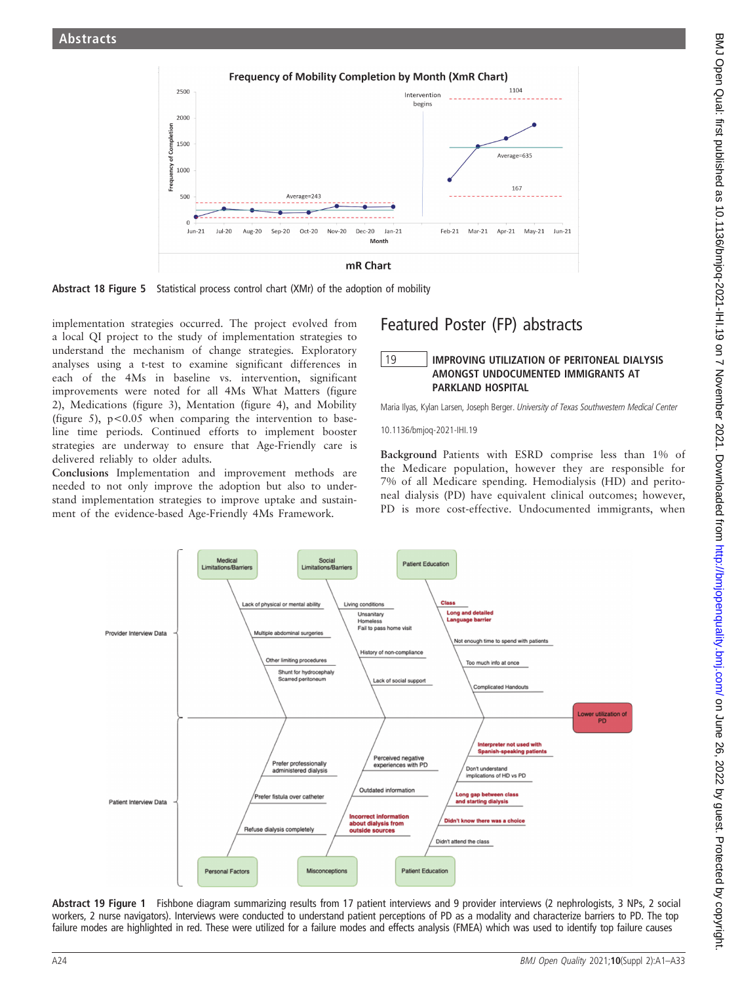



implementation strategies occurred. The project evolved from a local QI project to the study of implementation strategies to understand the mechanism of change strategies. Exploratory analyses using a t-test to examine significant differences in each of the 4Ms in baseline vs. intervention, significant improvements were noted for all 4Ms What Matters (figure 2), Medications (figure 3), Mentation (figure 4), and Mobility (figure 5),  $p < 0.05$  when comparing the intervention to baseline time periods. Continued efforts to implement booster strategies are underway to ensure that Age-Friendly care is delivered reliably to older adults.

Conclusions Implementation and improvement methods are needed to not only improve the adoption but also to understand implementation strategies to improve uptake and sustainment of the evidence-based Age-Friendly 4Ms Framework.

## Featured Poster (FP) abstracts

## 19 IMPROVING UTILIZATION OF PERITONEAL DIALYSIS<br>AMONGST UNDOCUMENTED IMMIGRANTS AT PARKLAND HOSPITAL

Maria Ilyas, Kylan Larsen, Joseph Berger. University of Texas Southwestern Medical Center

10.1136/bmjoq-2021-IHI.19

Background Patients with ESRD comprise less than 1% of the Medicare population, however they are responsible for 7% of all Medicare spending. Hemodialysis (HD) and peritoneal dialysis (PD) have equivalent clinical outcomes; however, PD is more cost-effective. Undocumented immigrants, when



Abstract 19 Figure 1 Fishbone diagram summarizing results from 17 patient interviews and 9 provider interviews (2 nephrologists, 3 NPs, 2 social workers, 2 nurse navigators). Interviews were conducted to understand patient perceptions of PD as a modality and characterize barriers to PD. The top failure modes are highlighted in red. These were utilized for a failure modes and effects analysis (FMEA) which was used to identify top failure causes